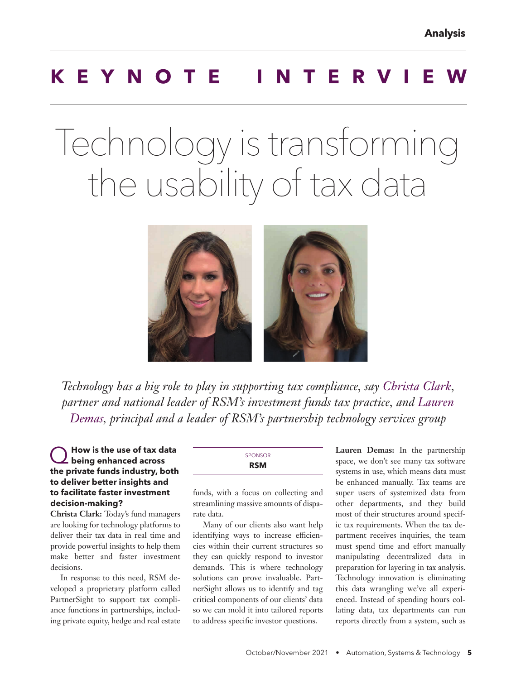# **KEYNOTE INTERV**

# Technology is transforming the usability of tax data



*Technology has a big role to play in supporting tax compliance, say Christa Clark, partner and national leader of RSM's investment funds tax practice, and Lauren Demas, principal and a leader of RSM's partnership technology services group*

#### Q **How is the use of tax data being enhanced across the private funds industry, both to deliver better insights and to facilitate faster investment decision-making?**

**Christa Clark:** Today's fund managers are looking for technology platforms to deliver their tax data in real time and provide powerful insights to help them make better and faster investment decisions.

In response to this need, RSM developed a proprietary platform called PartnerSight to support tax compliance functions in partnerships, including private equity, hedge and real estate

| <b>SPONSOR</b> |  |
|----------------|--|
| <b>RSM</b>     |  |
|                |  |

funds, with a focus on collecting and streamlining massive amounts of disparate data.

Many of our clients also want help identifying ways to increase efficiencies within their current structures so they can quickly respond to investor demands. This is where technology solutions can prove invaluable. PartnerSight allows us to identify and tag critical components of our clients' data so we can mold it into tailored reports to address specific investor questions.

**Lauren Demas:** In the partnership space, we don't see many tax software systems in use, which means data must be enhanced manually. Tax teams are super users of systemized data from other departments, and they build most of their structures around specific tax requirements. When the tax department receives inquiries, the team must spend time and effort manually manipulating decentralized data in preparation for layering in tax analysis. Technology innovation is eliminating this data wrangling we've all experienced. Instead of spending hours collating data, tax departments can run reports directly from a system, such as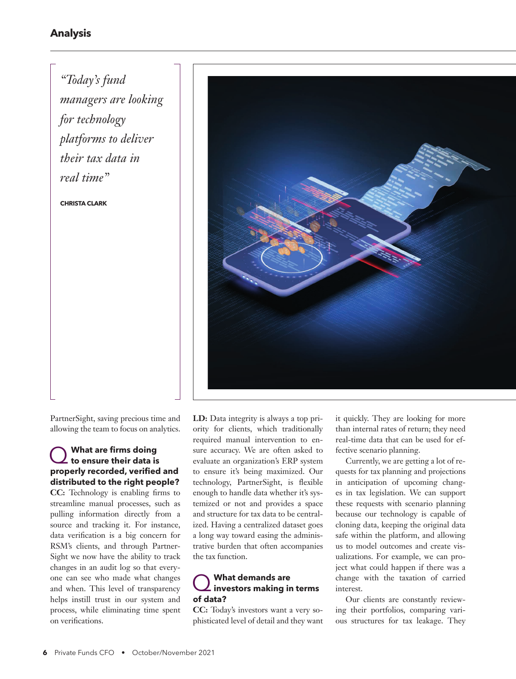#### **Analysis**

*"Today's fund managers are looking for technology platforms to deliver their tax data in real time"* 

**CHRISTA CLARK**



PartnerSight, saving precious time and allowing the team to focus on analytics.

### Q **What are firms doing to ensure their data is properly recorded, verified and distributed to the right people?**

**CC:** Technology is enabling firms to streamline manual processes, such as pulling information directly from a source and tracking it. For instance, data verification is a big concern for RSM's clients, and through Partner-Sight we now have the ability to track changes in an audit log so that everyone can see who made what changes and when. This level of transparency helps instill trust in our system and process, while eliminating time spent on verifications.

**LD:** Data integrity is always a top priority for clients, which traditionally required manual intervention to ensure accuracy. We are often asked to evaluate an organization's ERP system to ensure it's being maximized. Our technology, PartnerSight, is flexible enough to handle data whether it's systemized or not and provides a space and structure for tax data to be centralized. Having a centralized dataset goes a long way toward easing the administrative burden that often accompanies the tax function.

## Q **What demands are investors making in terms of data?**

**CC:** Today's investors want a very sophisticated level of detail and they want it quickly. They are looking for more than internal rates of return; they need real-time data that can be used for effective scenario planning.

Currently, we are getting a lot of requests for tax planning and projections in anticipation of upcoming changes in tax legislation. We can support these requests with scenario planning because our technology is capable of cloning data, keeping the original data safe within the platform, and allowing us to model outcomes and create visualizations. For example, we can project what could happen if there was a change with the taxation of carried interest.

Our clients are constantly reviewing their portfolios, comparing various structures for tax leakage. They